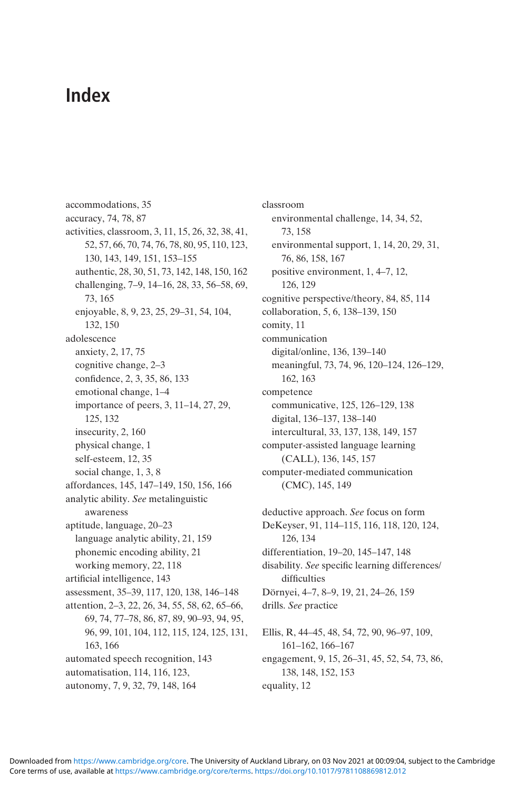## Index

accommodations, 35 accuracy, 74, 78, 87 activities, classroom, 3, 11, 15, 26, 32, 38, 41, 52, 57, 66, 70, 74, 76, 78, 80, 95, 110, 123, 130, 143, 149, 151, 153–155 authentic, 28, 30, 51, 73, 142, 148, 150, 162 challenging, 7–9, 14–16, 28, 33, 56–58, 69, 73, 165 enjoyable, 8, 9, 23, 25, 29–31, 54, 104, 132, 150 adolescence anxiety, 2, 17, 75 cognitive change, 2–3 confidence, 2, 3, 35, 86, 133 emotional change, 1–4 importance of peers, 3, 11–14, 27, 29, 125, 132 insecurity, 2, 160 physical change, 1 self-esteem, 12, 35 social change, 1, 3, 8 affordances, 145, 147–149, 150, 156, 166 analytic ability. See metalinguistic awareness aptitude, language, 20–23 language analytic ability, 21, 159 phonemic encoding ability, 21 working memory, 22, 118 artificial intelligence, 143 assessment, 35–39, 117, 120, 138, 146–148 attention, 2–3, 22, 26, 34, 55, 58, 62, 65–66, 69, 74, 77–78, 86, 87, 89, 90–93, 94, 95, 96, 99, 101, 104, 112, 115, 124, 125, 131, 163, 166 automated speech recognition, 143 automatisation, 114, 116, 123, autonomy, 7, 9, 32, 79, 148, 164

classroom environmental challenge, 14, 34, 52, 73, 158 environmental support, 1, 14, 20, 29, 31, 76, 86, 158, 167 positive environment, 1, 4–7, 12, 126, 129 cognitive perspective/theory, 84, 85, 114 collaboration, 5, 6, 138–139, 150 comity, 11 communication digital/online, 136, 139–140 meaningful, 73, 74, 96, 120–124, 126–129, 162, 163 competence communicative, 125, 126–129, 138 digital, 136–137, 138–140 intercultural, 33, 137, 138, 149, 157 computer-assisted language learning (CALL), 136, 145, 157 computer-mediated communication (CMC), 145, 149 deductive approach. See focus on form

DeKeyser, 91, 114–115, 116, 118, 120, 124, 126, 134 differentiation, 19–20, 145–147, 148 disability. See specific learning differences/ difficulties Dörnyei, 4–7, 8–9, 19, 21, 24–26, 159 drills. See practice

Ellis, R, 44–45, 48, 54, 72, 90, 96–97, 109, 161–162, 166–167 engagement, 9, 15, 26–31, 45, 52, 54, 73, 86, 138, 148, 152, 153 equality, 12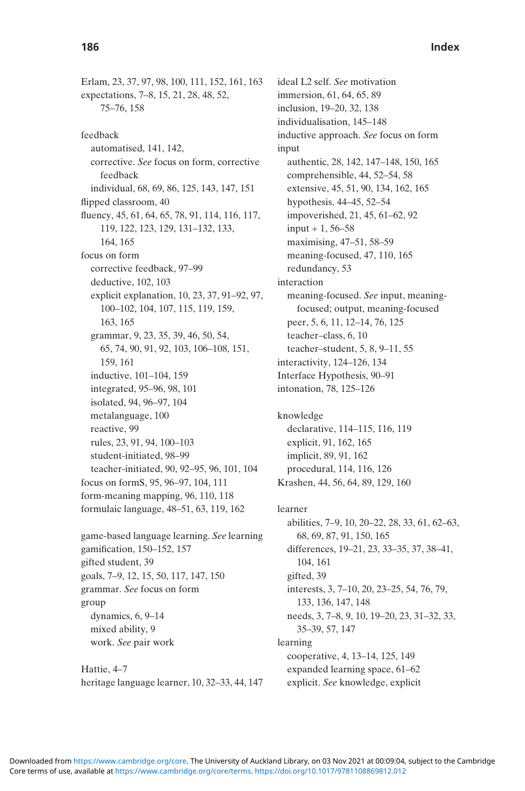Erlam, 23, 37, 97, 98, 100, 111, 152, 161, 163 expectations, 7–8, 15, 21, 28, 48, 52, 75–76, 158 feedback automatised, 141, 142, corrective. See focus on form, corrective feedback individual, 68, 69, 86, 125, 143, 147, 151 flipped classroom, 40 fluency, 45, 61, 64, 65, 78, 91, 114, 116, 117, 119, 122, 123, 129, 131–132, 133, 164, 165 focus on form corrective feedback, 97–99 deductive, 102, 103 explicit explanation, 10, 23, 37, 91–92, 97, 100–102, 104, 107, 115, 119, 159, 163, 165 grammar, 9, 23, 35, 39, 46, 50, 54, 65, 74, 90, 91, 92, 103, 106–108, 151, 159, 161 inductive, 101–104, 159 integrated, 95–96, 98, 101 isolated, 94, 96–97, 104 metalanguage, 100 reactive, 99 rules, 23, 91, 94, 100–103 student-initiated, 98–99 teacher-initiated, 90, 92–95, 96, 101, 104 focus on formS, 95, 96–97, 104, 111 form-meaning mapping, 96, 110, 118 formulaic language, 48–51, 63, 119, 162 game-based language learning. See learning

gamification, 150–152, 157 gifted student, 39 goals, 7–9, 12, 15, 50, 117, 147, 150 grammar. See focus on form group dynamics, 6, 9–14 mixed ability, 9 work. See pair work

Hattie, 4–7 heritage language learner, 10, 32–33, 44, 147

ideal L2 self. See motivation immersion, 61, 64, 65, 89 inclusion, 19–20, 32, 138 individualisation, 145–148 inductive approach. See focus on form input authentic, 28, 142, 147–148, 150, 165 comprehensible, 44, 52–54, 58 extensive, 45, 51, 90, 134, 162, 165 hypothesis, 44–45, 52–54 impoverished, 21, 45, 61–62, 92  $input + 1, 56 - 58$ maximising, 47–51, 58–59 meaning-focused, 47, 110, 165 redundancy, 53 interaction meaning-focused. See input, meaningfocused; output, meaning-focused peer, 5, 6, 11, 12–14, 76, 125 teacher–class, 6, 10 teacher–student, 5, 8, 9–11, 55 interactivity, 124–126, 134 Interface Hypothesis, 90–91 intonation, 78, 125–126

knowledge declarative, 114–115, 116, 119 explicit, 91, 162, 165 implicit, 89, 91, 162 procedural, 114, 116, 126 Krashen, 44, 56, 64, 89, 129, 160

learner abilities, 7–9, 10, 20–22, 28, 33, 61, 62–63, 68, 69, 87, 91, 150, 165 differences, 19–21, 23, 33–35, 37, 38–41, 104, 161 gifted, 39 interests, 3, 7–10, 20, 23–25, 54, 76, 79, 133, 136, 147, 148 needs, 3, 7–8, 9, 10, 19–20, 23, 31–32, 33, 35–39, 57, 147 learning cooperative, 4, 13–14, 125, 149 expanded learning space, 61–62 explicit. See knowledge, explicit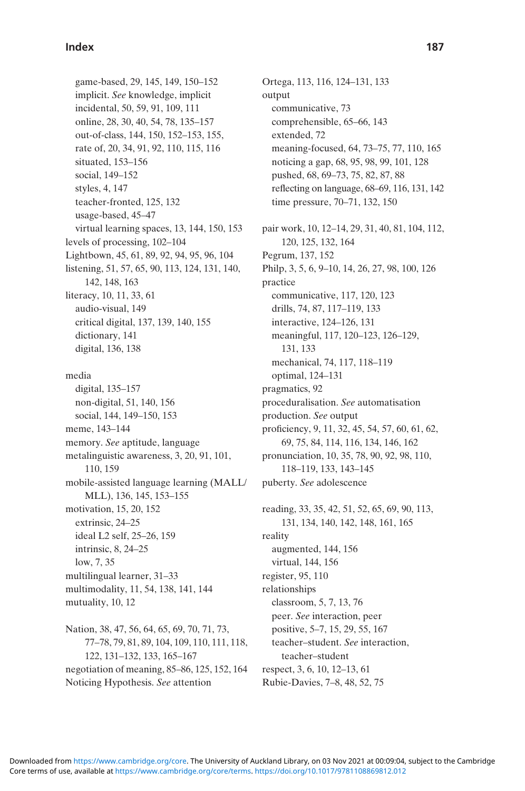## Index 187

game-based, 29, 145, 149, 150–152 implicit. See knowledge, implicit incidental, 50, 59, 91, 109, 111 online, 28, 30, 40, 54, 78, 135–157 out-of-class, 144, 150, 152–153, 155, rate of, 20, 34, 91, 92, 110, 115, 116 situated, 153–156 social, 149–152 styles, 4, 147 teacher-fronted, 125, 132 usage-based, 45–47 virtual learning spaces, 13, 144, 150, 153 levels of processing, 102–104 Lightbown, 45, 61, 89, 92, 94, 95, 96, 104 listening, 51, 57, 65, 90, 113, 124, 131, 140, 142, 148, 163 literacy, 10, 11, 33, 61 audio-visual, 149 critical digital, 137, 139, 140, 155 dictionary, 141 digital, 136, 138 media digital, 135–157 non-digital, 51, 140, 156 social, 144, 149–150, 153 meme, 143–144 memory. See aptitude, language metalinguistic awareness, 3, 20, 91, 101, 110, 159 mobile-assisted language learning (MALL/ MLL), 136, 145, 153–155 motivation, 15, 20, 152 extrinsic, 24–25 ideal L2 self, 25–26, 159 intrinsic, 8, 24–25 low, 7, 35 multilingual learner, 31–33 multimodality, 11, 54, 138, 141, 144 mutuality, 10, 12 Nation, 38, 47, 56, 64, 65, 69, 70, 71, 73,

77–78, 79, 81, 89, 104, 109, 110, 111, 118, 122, 131–132, 133, 165–167 negotiation of meaning, 85–86, 125, 152, 164 Noticing Hypothesis. See attention

Ortega, 113, 116, 124–131, 133 output communicative, 73 comprehensible, 65–66, 143 extended, 72 meaning-focused, 64, 73–75, 77, 110, 165 noticing a gap, 68, 95, 98, 99, 101, 128 pushed, 68, 69–73, 75, 82, 87, 88 reflecting on language, 68–69, 116, 131, 142 time pressure, 70–71, 132, 150 pair work, 10, 12–14, 29, 31, 40, 81, 104, 112, 120, 125, 132, 164 Pegrum, 137, 152 Philp, 3, 5, 6, 9–10, 14, 26, 27, 98, 100, 126 practice communicative, 117, 120, 123 drills, 74, 87, 117–119, 133 interactive, 124–126, 131 meaningful, 117, 120–123, 126–129, 131, 133 mechanical, 74, 117, 118–119 optimal, 124–131 pragmatics, 92 proceduralisation. See automatisation production. See output proficiency, 9, 11, 32, 45, 54, 57, 60, 61, 62, 69, 75, 84, 114, 116, 134, 146, 162 pronunciation, 10, 35, 78, 90, 92, 98, 110, 118–119, 133, 143–145 puberty. See adolescence reading, 33, 35, 42, 51, 52, 65, 69, 90, 113, 131, 134, 140, 142, 148, 161, 165 reality augmented, 144, 156 virtual, 144, 156 register, 95, 110 relationships classroom, 5, 7, 13, 76 peer. See interaction, peer positive, 5–7, 15, 29, 55, 167 teacher–student. See interaction, teacher–student respect, 3, 6, 10, 12–13, 61 Rubie-Davies, 7–8, 48, 52, 75